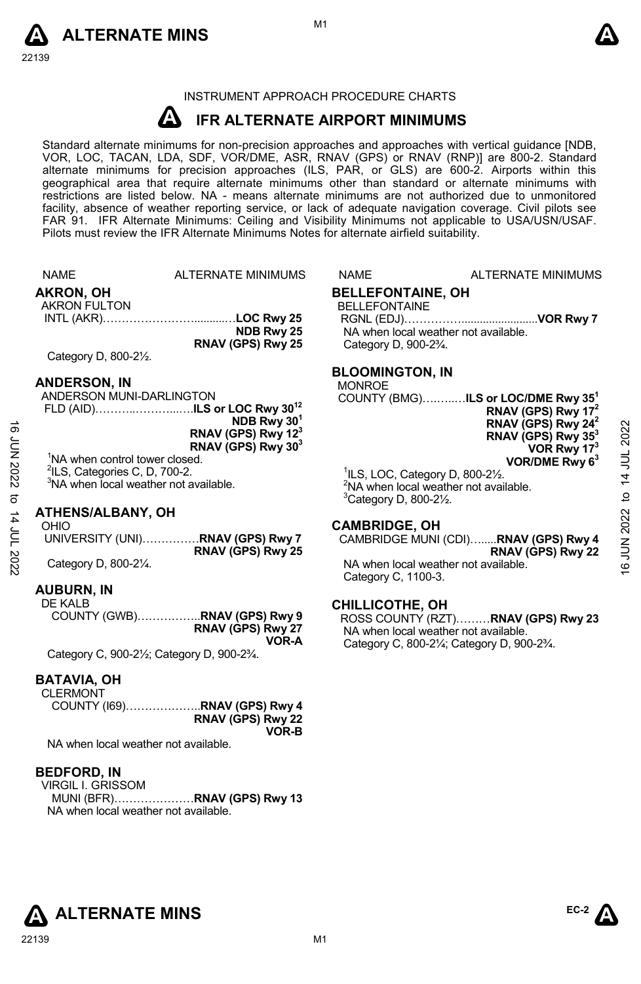



# INSTRUMENT APPROACH PROCEDURE CHARTS

#### **A IFR ALTERNATE AIRPORT MINIMUMS**

Standard alternate minimums for non-precision approaches and approaches with vertical guidance [NDB,<br>VOR, LOC, TACAN, LDA, SDF, VOR/DME, ASR, RNAV (GPS) or RNAV (RNP)] are 800-2. Standard alternate minimums for precision approaches (ILS, PAR, or GLS) are 600-2. Airports within this geographical area that require alternate minimums other than standard or alternate minimums with restrictions are listed below. NA - means alternate minimums are not authorized due to unmonitored facility, absence of weather reporting service, or lack of adequate navigation coverage. Civil pilots see FAR 91. IFR Alternate Minimums: Ceiling and Visibility Minimums not applicable to USA/USN/USAF. Pilots must review the IFR Alternate Minimums Notes for alternate airfield suitability.

|             | <b>NAME</b>                                       | <b>ALTERNATE MINIMUMS</b>                                        | NAME                                                      | <b>ALTERNATE MINIMUMS</b>                                 |              |
|-------------|---------------------------------------------------|------------------------------------------------------------------|-----------------------------------------------------------|-----------------------------------------------------------|--------------|
|             | <b>AKRON, OH</b>                                  |                                                                  | <b>BELLEFONTAINE, OH</b>                                  |                                                           |              |
|             | <b>AKRON FULTON</b>                               |                                                                  | <b>BELLEFONTAINE</b>                                      |                                                           |              |
|             |                                                   |                                                                  |                                                           |                                                           |              |
|             |                                                   | NDB Rwy 25<br>RNAV (GPS) Rwy 25                                  |                                                           | NA when local weather not available.                      |              |
|             | Category D, 800-21/2.                             |                                                                  | Category D, 900-2 <sup>3</sup> / <sub>4</sub> .           |                                                           |              |
|             |                                                   |                                                                  | <b>BLOOMINGTON, IN</b>                                    |                                                           |              |
|             | <b>ANDERSON, IN</b>                               |                                                                  | <b>MONROE</b>                                             |                                                           |              |
|             | ANDERSON MUNI-DARLINGTON                          |                                                                  |                                                           | COUNTY (BMG)ILS or LOC/DME Rwy 35 <sup>1</sup>            |              |
|             |                                                   | FLD (AID)ILS or LOC Rwy 30 <sup>12</sup>                         |                                                           | RNAV (GPS) Rwy 17 <sup>2</sup>                            |              |
| ಹೆ          |                                                   | NDB Rwy 30 <sup>1</sup>                                          |                                                           | RNAV (GPS) Rwy $242$                                      |              |
|             |                                                   | RNAV (GPS) Rwy 12 <sup>3</sup><br>RNAV (GPS) Rwy 30 <sup>3</sup> |                                                           | RNAV (GPS) Rwy 35 <sup>3</sup>                            | 2022         |
| Z202 NN     | <sup>1</sup> NA when control tower closed.        |                                                                  |                                                           | VOR Rwy $173$<br>VOR/DME Rwy $63$                         |              |
|             | <sup>2</sup> ILS, Categories C, D, 700-2.         |                                                                  | $\frac{1}{1}$ ILS, LOC, Category D, 800-2 $\frac{1}{2}$ . |                                                           | 14 JUL       |
|             | <sup>3</sup> NA when local weather not available. |                                                                  |                                                           | <sup>2</sup> NA when local weather not available.         |              |
| ಕ           |                                                   |                                                                  | <sup>3</sup> Category D, 800-21/2.                        |                                                           | $\mathbf{a}$ |
|             | ATHENS/ALBANY, OH                                 |                                                                  |                                                           |                                                           |              |
|             | OHIO                                              |                                                                  | <b>CAMBRIDGE, OH</b>                                      |                                                           |              |
| 14 JUL 2022 |                                                   | UNIVERSITY (UNI)RNAV (GPS) Rwy 7<br>RNAV (GPS) Rwy 25            |                                                           | CAMBRIDGE MUNI (CDI)RNAV (GPS) Rwy 4                      | 16 JUN 2022  |
|             | Category D, 800-21/4.                             |                                                                  |                                                           | RNAV (GPS) Rwy 22<br>NA when local weather not available. |              |
|             |                                                   |                                                                  | $\sim$ $\sim$ $\sim$ $\sim$ $\sim$ $\sim$                 |                                                           |              |

# Category D, 800-2¼.

# **AUBURN, IN**

DE KALB COUNTY (GWB)……………..**RNAV (GPS) Rwy 9 RNAV (GPS) Rwy 27 VOR-A**  Category C, 900-2½; Category D, 900-2¾.

# **BATAVIA, OH**

**CLERMONT** COUNTY (I69)………………..**RNAV (GPS) Rwy 4 RNAV (GPS) Rwy 22 VOR-B** 

NA when local weather not available.

# **BEDFORD, IN**

VIRGIL I. GRISSOM MUNI (BFR)…………………**RNAV (GPS) Rwy 13**  NA when local weather not available.

Category C, 1100-3.

# **CHILLICOTHE, OH**

ROSS COUNTY (RZT)………**RNAV (GPS) Rwy 23**  NA when local weather not available. Category C, 800-2¼; Category D, 900-2¾.



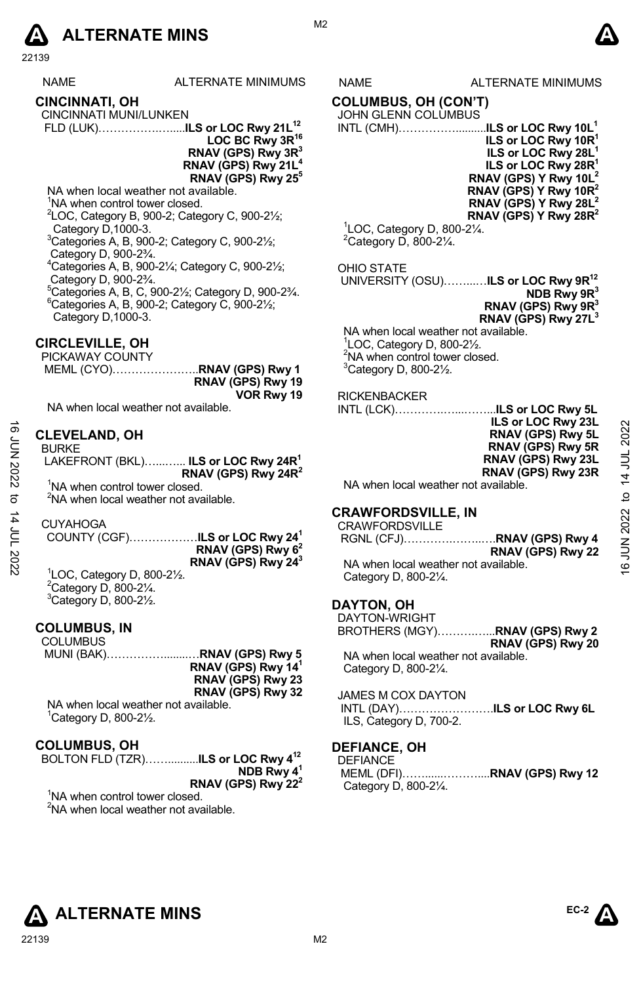

| <b>NAME</b> | ALTERNATE MINIMUMS |
|-------------|--------------------|
|             |                    |

### **CINCINNATI, OH**  CINCINNATI MUNI/LUNKEN

FLD (LUK)…………….….....**ILS or LOC Rwy 21L12**

**LOC BC Rwy 3R16 RNAV (GPS) Rwy 3R3 RNAV (GPS) Rwy 21L4**

# **RNAV (GPS) Rwy 255**

NA when local weather not available.

<sup>1</sup>NA when control tower closed.  $2^2$ LOC, Category B, 900-2; Category C, 900-2 $\frac{1}{2}$ ;

Category D,1000-3. 3 Categories A, B, 900-2; Category C, 900-2½;

Category D, 900-23/4.

Categories A, B, 900-2¼; Category C, 900-2½;

 Category D, 900-2¾. 5 <sup>5</sup>Categories A, B, C, 900-21/<sub>2</sub>; Category D, 900-23/4.  $6$ Categories A, B, 900-2; Category C, 900-2 $\frac{1}{2}$ ; Category D,1000-3.

# **CIRCLEVILLE, OH**

PICKAWAY COUNTY MEML (CYO)…………………..**RNAV (GPS) Rwy 1 RNAV (GPS) Rwy 19 VOR Rwy 19**  NA when local weather not available.

### **CLEVELAND, OH**  BURKE

### CUYAHOGA

1 LOC, Category D, 800-2½.  $2$ Category D, 800-2 $\frac{1}{4}$ .  $3$ Category D, 800-2 $\frac{1}{2}$ .

# **COLUMBUS, IN**

**COLUMBUS**  MUNI (BAK)……………........…**RNAV (GPS) Rwy 5 RNAV (GPS) Rwy 141 RNAV (GPS) Rwy 23 RNAV (GPS) Rwy 32** 

NA when local weather not available. 1 Category D, 800-2½.

# **COLUMBUS, OH**

| BOLTON FLD (TZR) <b>ILS or LOC Rwy 4<sup>12</sup></b> |
|-------------------------------------------------------|
| NDB Rwy $4^1$                                         |
| RNAV (GPS) Rwy 22 <sup>2</sup>                        |

<sup>1</sup>NA when control tower closed.  ${}^{2}$ NA when local weather not available.

# S NAME ALTERNATE MINIMUMS

# **COLUMBUS, OH (CON'T)**

# JOHN GLENN COLUMBUS

INTL (CMH)……………..........**ILS or LOC Rwy 10L1 ILS or LOC Rwy 10R1 ILS or LOC Rwy 28L1 ILS or LOC Rwy 28R<sup>1</sup> RNAV (GPS) Y Rwy 10L2 RNAV (GPS) Y Rwy 10R2 RNAV (GPS) Y Rwy 28L2 RNAV (GPS) Y Rwy 28R2** 

 $1$ LOC, Category D, 800-2 $\frac{1}{4}$ .  $2$ Category D, 800-2 $\frac{1}{4}$ .

# OHIO STATE

 UNIVERSITY (OSU)……...…**ILS or LOC Rwy 9R12 NDB Rwy 9R3 RNAV (GPS) Rwy 9R3 RNAV (GPS) Rwy 27L3**

NA when local weather not available. 1 LOC, Category D, 800-2½. <sup>2</sup>NA when control tower closed.  $3$ Category D, 800-2 $\frac{1}{2}$ .

# RICKENBACKER

INTL (LCK)………….…...……...**ILS or LOC Rwy 5L ILS or LOC Rwy 23L** 

**RNAV (GPS) Rwy 5L RNAV (GPS) Rwy 5R RNAV (GPS) Rwy 23L RNAV (GPS) Rwy 23R** 

# **CRAWFORDSVILLE, IN**

| ಹ                  | <b>CLEVELAND, OH</b>                              | <b>ILS OF LUG RWY ZJL</b><br>RNAV (GPS) Rwy 5L | 2022     |
|--------------------|---------------------------------------------------|------------------------------------------------|----------|
| έ<br>Σ             | <b>BURKE</b>                                      | RNAV (GPS) Rwy 5R                              |          |
|                    | LAKEFRONT (BKL) ILS or LOC Rwy 24R <sup>1</sup>   | RNAV (GPS) Rwy 23L                             | 14 JUL   |
| 12022              | RNAV (GPS) Rwy 24 $R^2$                           | RNAV (GPS) Rwy 23R                             |          |
|                    | <sup>1</sup> NA when control tower closed.        | NA when local weather not available.           |          |
| ನ                  | <sup>2</sup> NA when local weather not available. |                                                | ₫        |
|                    |                                                   | <b>CRAWFORDSVILLE. IN</b>                      |          |
| וחר <del>≀</del> ו | <b>CUYAHOGA</b>                                   | <b>CRAWFORDSVILLE</b>                          |          |
|                    | COUNTY (CGF)ILS or LOC Rwy 24 <sup>1</sup>        |                                                |          |
|                    | RNAV (GPS) Rwy 6 <sup>2</sup>                     | RNAV (GPS) Rwy 22                              | JUN 2022 |
|                    | RNAV (GPS) Rwy 24 <sup>3</sup>                    | NA when local weather not available.           | G        |
|                    | $100$ Catogory D, 800 $21/$                       |                                                |          |

Category D, 800-2¼.

# **DAYTON, OH**

DAYTON-WRIGHT BROTHERS (MGY)……….…...**RNAV (GPS) Rwy 2 RNAV (GPS) Rwy 20**  NA when local weather not available. Category D, 800-2¼.

JAMES M COX DAYTON INTL (DAY)…………………….**ILS or LOC Rwy 6L** ILS, Category D, 700-2.

# **DEFIANCE, OH**

DEFIANCE MEML (DFI)……......………....**RNAV (GPS) Rwy 12**  Category D, 800-2¼.



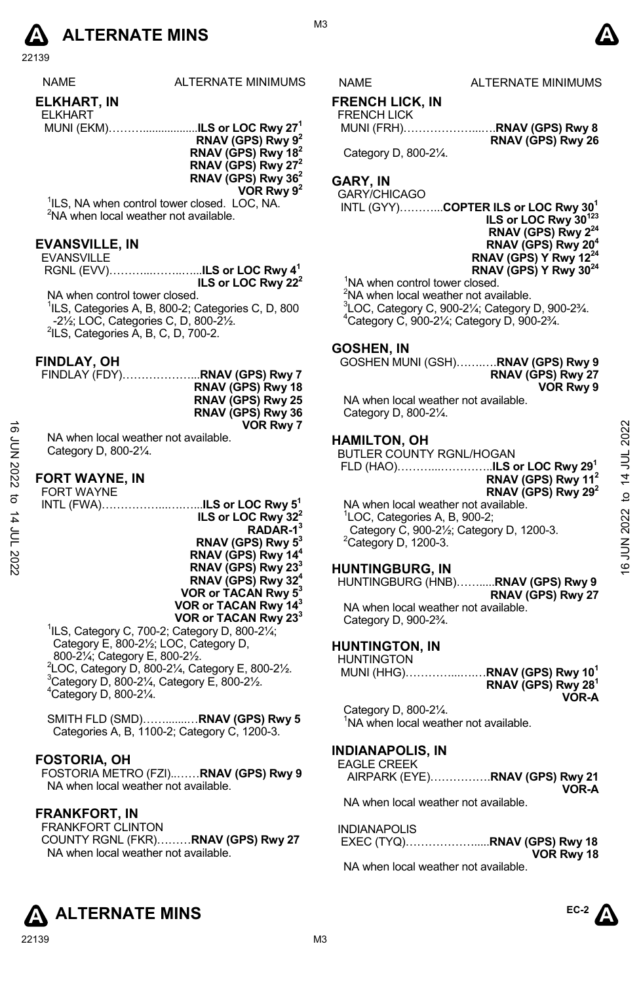

22139

| <b>NAME</b> | ALTERNATE MINIMUMS |
|-------------|--------------------|
| ----------  |                    |

#### **ELKHART, IN**  ELKHART

| <b>LLIVIMINI</b> |                                          |
|------------------|------------------------------------------|
|                  | MUNI (EKM)ILS or LOC Rwy 27 <sup>1</sup> |
|                  | ___. _ _ _ _ _                           |

**RNAV (GPS) Rwy 92 RNAV (GPS) Rwy 182 RNAV (GPS) Rwy 272 RNAV (GPS) Rwy 362 VOR Rwy 92**

<sup>1</sup>ILS, NA when control tower closed. LOC, NA. <sup>2</sup>NA when local weather not available.

# **EVANSVILLE, IN**

| <b>EVANSVILLE</b> |  |
|-------------------|--|
|                   |  |
|                   |  |

NA when control tower closed. <sup>1</sup>ILS, Categories A, B, 800-2; Categories C, D, 800 -21/<sub>2</sub>; LOC, Categories C, D, 800-21/<sub>2</sub>.  $2ILS$ , Categories  $A$ , B, C, D, 700-2.

# **FINDLAY, OH**

| RNAV (GPS) Rwy 18 |  |
|-------------------|--|
| RNAV (GPS) Rwy 25 |  |
| RNAV (GPS) Rwy 36 |  |
| VOR Rwy 7         |  |
|                   |  |

#### **FORT WAYNE, IN ET WAYNE**

|                                        | <b>VOR Rwy 7</b>                                                                                                                                                                                                                                                                                                                                                                                                          |                                                                                                                                                                                                                                                                                                                                                                                                                                             |                                             |
|----------------------------------------|---------------------------------------------------------------------------------------------------------------------------------------------------------------------------------------------------------------------------------------------------------------------------------------------------------------------------------------------------------------------------------------------------------------------------|---------------------------------------------------------------------------------------------------------------------------------------------------------------------------------------------------------------------------------------------------------------------------------------------------------------------------------------------------------------------------------------------------------------------------------------------|---------------------------------------------|
| ಹ<br>έ<br>Σ<br>12022<br>ನ<br>4<br>2022 | NA when local weather not available.<br>Category D, 800-21/4.<br><b>FORT WAYNE, IN</b><br><b>FORT WAYNE</b><br>INTL (FWA) <b>ILS or LOC Rwy 5<sup>1</sup></b><br>ILS or LOC Rwy 32 <sup>2</sup><br>RADAR-1 <sup>3</sup><br>RNAV (GPS) Rwy 5 <sup>3</sup><br>RNAV (GPS) Rwy 14 <sup>4</sup><br>RNAV (GPS) Rwy 23 <sup>3</sup><br>RNAV (GPS) Rwy 32 <sup>4</sup><br>VOR or TACAN Rwy 5 <sup>3</sup><br>VOR or TACAN Rwy 143 | <b>HAMILTON, OH</b><br><b>BUTLER COUNTY RGNL/HOGAN</b><br>FLD (HAO)ILS or LOC Rwy 29 <sup>1</sup><br>RNAV (GPS) Rwy $112$<br>RNAV (GPS) Rwy $29^2$<br>NA when local weather not available.<br><sup>1</sup> LOC, Categories A, B, 900-2;<br>Category C, 900-21/2; Category D, 1200-3.<br>$2$ Category D, 1200-3.<br><b>HUNTINGBURG, IN</b><br>HUNTINGBURG (HNB)RNAV (GPS) Rwy 9<br>RNAV (GPS) Rwy 27<br>NA when local weather not available. | 2022<br>14 JUL<br>ೆ<br><b>JUN 2022</b><br>9 |
|                                        | VOR or TACAN Rwy 23 <sup>3</sup><br><sup>1</sup> ILS, Category C, 700-2; Category D, 800-21/ <sub>4</sub> ;                                                                                                                                                                                                                                                                                                               | Category D, 900-2 <sup>3</sup> / <sub>4</sub> .                                                                                                                                                                                                                                                                                                                                                                                             |                                             |
|                                        |                                                                                                                                                                                                                                                                                                                                                                                                                           |                                                                                                                                                                                                                                                                                                                                                                                                                                             |                                             |

Category E, 800-2½; LOC, Category D, 800-2¼; Category E, 800-2½. 2 LOC, Category D, 800-2¼, Category E, 800-2½. 3 Category D, 800-2¼, Category E, 800-2½.  $4$ Category D, 800-2 $\frac{1}{4}$ .

SMITH FLD (SMD)…….......…**RNAV (GPS) Rwy 5** Categories A, B, 1100-2; Category C, 1200-3.

# **FOSTORIA, OH**

FOSTORIA METRO (FZI)..……**RNAV (GPS) Rwy 9**  NA when local weather not available.

# **FRANKFORT, IN**

FRANKFORT CLINTON COUNTY RGNL (FKR)………**RNAV (GPS) Rwy 27**  NA when local weather not available.

S NAME ALTERNATE MINIMUMS

M<sub>3</sub>

# **FRENCH LICK, IN**

# FRENCH LICK

 MUNI (FRH)………………...….**RNAV (GPS) Rwy 8 RNAV (GPS) Rwy 26**

Category D, 800-2¼.

# **GARY, IN**

GARY/CHICAGO

 INTL (GYY)………...**COPTER ILS or LOC Rwy 301 ILS or LOC Rwy 30123 RNAV (GPS) Rwy 224 RNAV (GPS) Rwy 204 RNAV (GPS) Y Rwy 1224 RNAV (GPS) Y Rwy 3024**  <sup>1</sup>NA when control tower closed.

<sup>2</sup>NA when local weather not available.  $^{3}$ LOC, Category C, 900-2¼; Category D, 900-2¾. Category C, 900-2¼; Category D, 900-2¾.

# **GOSHEN, IN**

GOSHEN MUNI (GSH)…….….**RNAV (GPS) Rwy 9 RNAV (GPS) Rwy 27 VOR Rwy 9** 

NA when local weather not available. Category D, 800-2¼.

# **HAMILTON, OH**

# **HUNTINGBURG, IN**

# **HUNTINGTON, IN**

HUNTINGTON MUNI (HHG)…………...….…**RNAV (GPS) Rwy 101 RNAV (GPS) Rwy 281 VOR-A**

Category D, 800-2¼. <sup>1</sup>NA when local weather not available.

# **INDIANAPOLIS, IN**

| EAGLE CREEK |                                |
|-------------|--------------------------------|
|             | AIRPARK (EYE)RNAV (GPS) Rwy 21 |
|             | VOR-A                          |

NA when local weather not available.

| <b>INDIANAPOLIS</b> |            |
|---------------------|------------|
|                     |            |
|                     | VOR Rwy 18 |

NA when local weather not available.

**ALTERNATE MINS** 



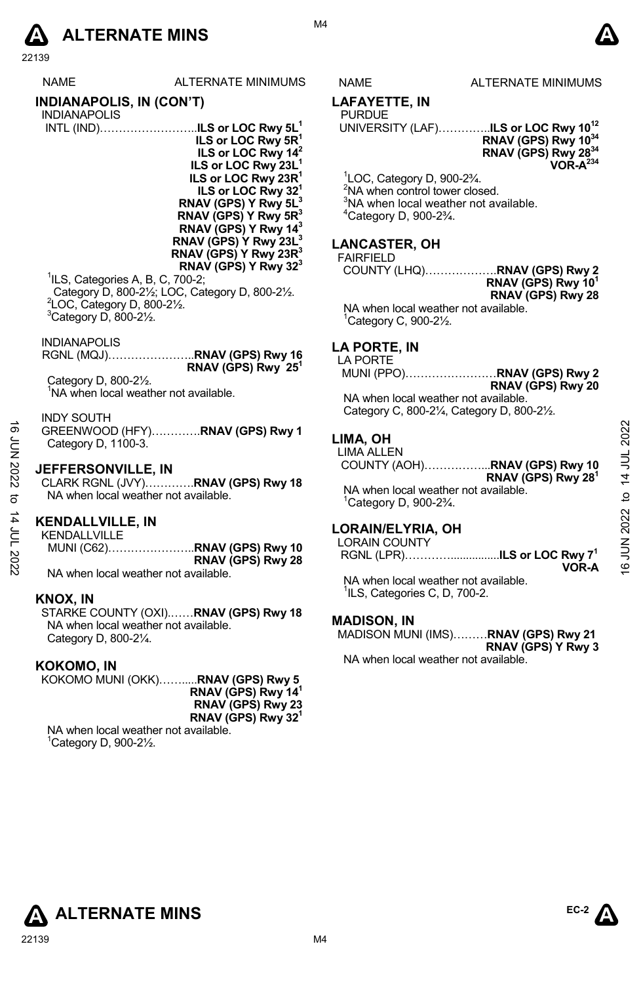# **A** ALTERNATE MINS  $\bullet$

M4

# NAME ALTERNATE MINIMUMS

# **LAFAYETTE, IN**

# **LANCASTER, OH**

# FAIRFIELD

# **LA PORTE, IN**

# NA when local weather not available. Category C, 800-2¼, Category D, 800-2½.

# **LIMA, OH**

# **LORAIN/ELYRIA, OH**

# **MADISON, IN**

# **A ALTERNATE MINS**

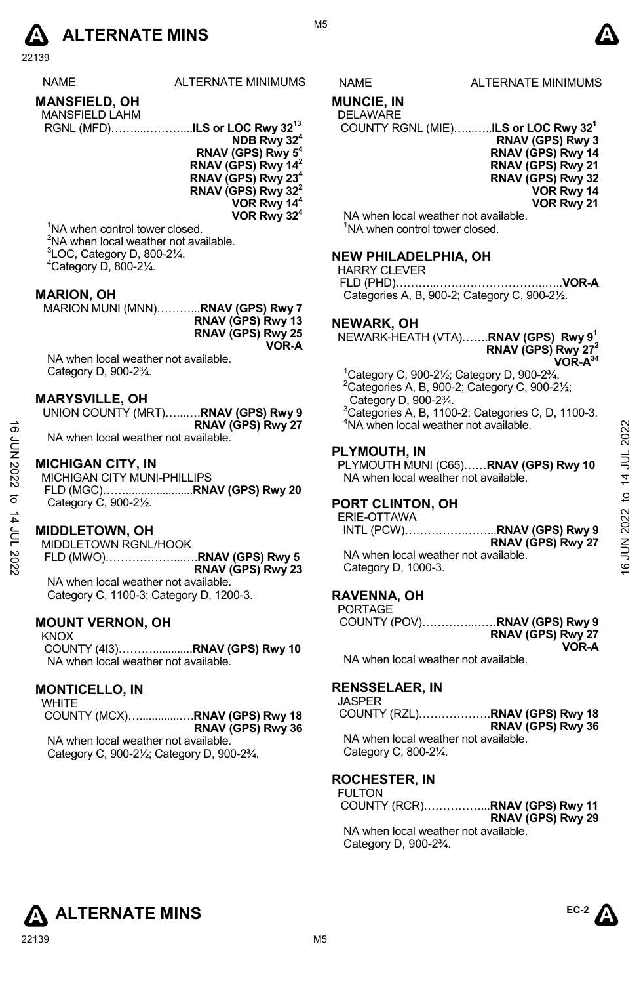

22139

| <b>NAME</b> | <b>ALTERNATE MINIMUMS</b> |
|-------------|---------------------------|
|             |                           |

| <b>MANSFIELD, OH</b>  |  |
|-----------------------|--|
| <b>MANSFIELD LAHM</b> |  |

| <b>IVIAINOLILLU LAI IIVI</b> |  |  |
|------------------------------|--|--|
|                              |  |  |

**NDB Rwy 324 RNAV (GPS) Rwy 54 RNAV (GPS) Rwy 142 RNAV (GPS) Rwy 234 RNAV (GPS) Rwy 322 VOR Rwy 144 VOR Rwy 324**

<sup>1</sup>NA when control tower closed. <sup>2</sup>NA when local weather not available.  $3$ LOC, Category D, 800-2 $\frac{1}{4}$ .  $4$ Category D, 800-2 $\frac{1}{4}$ .

# **MARION, OH**

MARION MUNI (MNN)………...**RNAV (GPS) Rwy 7 RNAV (GPS) Rwy 13 RNAV (GPS) Rwy 25 VOR-A** 

NA when local weather not available. Category D, 900-2¾.

# **MARYSVILLE, OH**

| UNION COUNTY (MRT)RNAV (GPS) Rwy 9   |                   |
|--------------------------------------|-------------------|
|                                      | RNAV (GPS) Rwy 27 |
| NA when local weather not available. |                   |

# **MICHIGAN CITY, IN**

MICHIGAN CITY MUNI-PHILLIPS FLD (MGC)……......................**RNAV (GPS) Rwy 20**  Category C, 900-2½.

# **MIDDLETOWN, OH**

MIDDLETOWN RGNL/HOOK FLD (MWO)………………...….**RNAV (GPS) Rwy 5 RNAV (GPS) Rwy 23** NA when local weather not available.

Category C, 1100-3; Category D, 1200-3.

# **MOUNT VERNON, OH**

KNOX COUNTY (4I3)……….............**RNAV (GPS) Rwy 10**  NA when local weather not available.

# **MONTICELLO, IN**

**WHITE**  COUNTY (MCX)….............….**RNAV (GPS) Rwy 18 RNAV (GPS) Rwy 36**  NA when local weather not available.

Category C, 900-2½; Category D, 900-2¾.



# **MUNCIE, IN**

# DELAWARE

 COUNTY RGNL (MIE)…...…..**ILS or LOC Rwy 321 RNAV (GPS) Rwy 3 RNAV (GPS) Rwy 14 RNAV (GPS) Rwy 21 RNAV (GPS) Rwy 32 VOR Rwy 14 VOR Rwy 21** 

NA when local weather not available. <sup>1</sup>NA when control tower closed.

# **NEW PHILADELPHIA, OH**

HARRY CLEVER FLD (PHD)………..………………………..…..**VOR-A**  Categories A, B, 900-2; Category C, 900-2½.

# **NEWARK, OH**

NEWARK-HEATH (VTA)…….**RNAV (GPS) Rwy 91 RNAV (GPS) Rwy 272 VOR-A34**

1 Category C, 900-2½; Category D, 900-2¾.  $2$ Categories A, B, 900-2; Category C, 900-2 $\frac{1}{2}$ ; Category D, 900-2¾.

 $3$ Categories A, B, 1100-2; Categories C, D, 1100-3. <sup>4</sup>NA when local weather not available.

# **PLYMOUTH, IN**

PLYMOUTH MUNI (C65)……**RNAV (GPS) Rwy 10**  NA when local weather not available.

# **PORT CLINTON, OH**

ERIE**-**OTTAWA

INTL (PCW)…………….……...**RNAV (GPS) Rwy 9 RNAV (GPS) Rwy 27**  NA when local weather not available. Category D, 1000-3. 16 JUN 2022 to 14 JUL 202216 JUN 2022 to 14 JUL 2022

# **RAVENNA, OH**

| <b>PORTAGE</b> |                   |
|----------------|-------------------|
|                |                   |
|                | RNAV (GPS) Rwy 27 |
|                | VOR-A             |

NA when local weather not available.

# **RENSSELAER, IN**

JASPER

COUNTY (RZL)……………….**RNAV (GPS) Rwy 18 RNAV (GPS) Rwy 36**  NA when local weather not available. Category C, 800-2¼.

# **ROCHESTER, IN**

FULTON COUNTY (RCR)……………...**RNAV (GPS) Rwy 11 RNAV (GPS) Rwy 29** NA when local weather not available. Category D, 900-2¾.



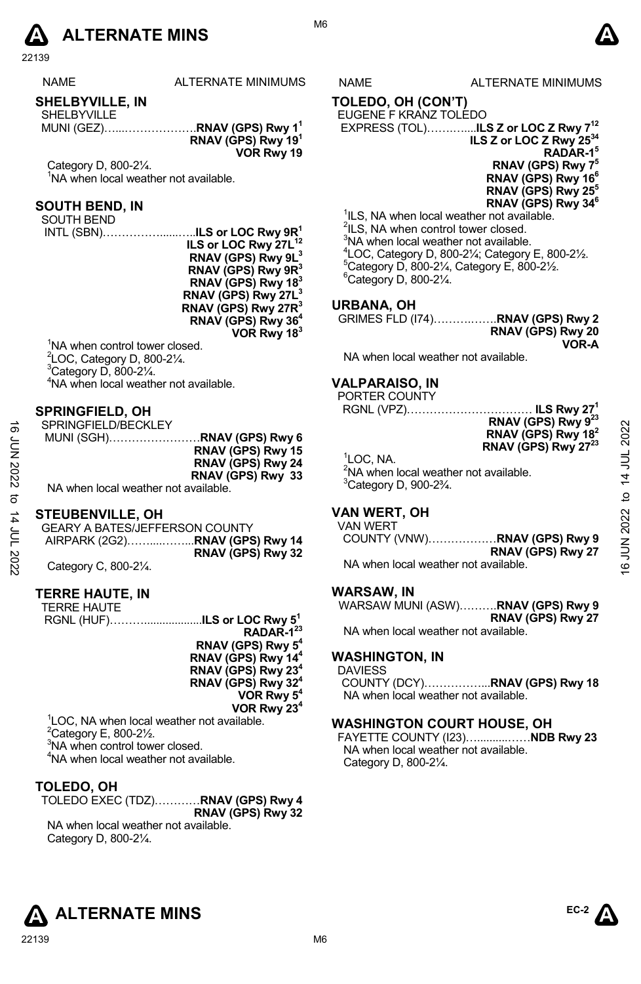

22139

NAME ALTERNATE MINIMUMS NAME ALTERNATE MINIMUMS

# **SHELBYVILLE, IN**

SHELBYVILLE MUNI (GEZ)…...……………….**RNAV (GPS) Rwy 11 RNAV (GPS) Rwy 191 VOR Rwy 19** 

Category D, 800-2¼. <sup>1</sup>NA when local weather not available.

# **SOUTH BEND, IN**

SOUTH BEND

 INTL (SBN)……………......…..**ILS or LOC Rwy 9R1 ILS or LOC Rwy 27L<sup>12</sup> RNAV (GPS) Rwy 9L3 RNAV (GPS) Rwy 9R3 RNAV (GPS) Rwy 183 RNAV (GPS) Rwy 27L3 RNAV (GPS) Rwy 27R3 RNAV (GPS) Rwy 364 VOR Rwy 183**

<sup>1</sup>NA when control tower closed. LOC, Category D, 800-2 $\frac{1}{4}$ . Category D, 800-2 $\frac{1}{4}$ . NA when local weather not available.

# **SPRINGFIELD, OH**

| ಹೆ<br>ξ<br>Σ<br>2022<br>ನ | SPRINGFIELD/BECKLEY<br>MUNI (SGH)RNAV (GPS) Rwy 6<br>RNAV (GPS) Rwy 15<br>RNAV (GPS) Rwy 24<br>RNAV (GPS) Rwy 33<br>NA when local weather not available. | <b>RNAV (GPS) RWY 9</b><br>RNAV (GPS) Rwy 18 <sup>2</sup><br>RNAV (GPS) Rwy 27 <sup>23</sup><br><sup>1</sup> LOC. NA.<br><sup>2</sup> NA when local weather not available.<br>$3$ Category D, 900-2 $\frac{3}{4}$ . | 2022<br>$\overline{ }$<br>₫ |
|---------------------------|----------------------------------------------------------------------------------------------------------------------------------------------------------|---------------------------------------------------------------------------------------------------------------------------------------------------------------------------------------------------------------------|-----------------------------|
| 4<br>≣<br>2022            | <b>STEUBENVILLE, OH</b><br><b>GEARY A BATES/JEFFERSON COUNTY</b><br>AIRPARK (2G2)RNAV (GPS) Rwy 14<br>RNAV (GPS) Rwy 32<br>Category C, 800-21/4.         | <b>VAN WERT, OH</b><br>VAN WERT<br>RNAV (GPS) Rwy 27<br>NA when local weather not available.                                                                                                                        | JUN 2022<br>G               |

# **STEUBENVILLE, OH**

| <b>GEARY A BATES/JEFFERSON COUNTY</b> |                   |
|---------------------------------------|-------------------|
|                                       |                   |
|                                       | RNAV (GPS) Rwy 32 |
| Category C, 800-21/4.                 |                   |

# **TERRE HAUTE, IN**

| TERRE HAUTE                                            |                                                                  |
|--------------------------------------------------------|------------------------------------------------------------------|
|                                                        |                                                                  |
|                                                        | RGNL (HUF)ILS or LOC Rwy 5 <sup>1</sup><br>RADAR-1 <sup>23</sup> |
|                                                        | RNAV (GPS) Rwy 5 <sup>4</sup>                                    |
|                                                        | RNAV (GPS) Rwy 14 <sup>4</sup>                                   |
|                                                        | RNAV (GPS) Rwy 23 <sup>4</sup>                                   |
|                                                        | RNAV (GPS) Rwy 324                                               |
|                                                        | VOR Rwy 5 <sup>4</sup>                                           |
|                                                        | VOR Rwy 23 <sup>4</sup>                                          |
| <sup>1</sup> LOC, NA when local weather not available. |                                                                  |
| $2$ Category E, 800-2 $\frac{1}{2}$ .                  |                                                                  |
|                                                        |                                                                  |

<sup>3</sup>NA when control tower closed.

4 NA when local weather not available.

# **TOLEDO, OH**

| TOLEDO EXEC (TDZ)RNAV (GPS) Rwy 4 |                   |  |
|-----------------------------------|-------------------|--|
|                                   | RNAV (GPS) Rwy 32 |  |

NA when local weather not available. Category D, 800-2¼.

M6

# **TOLEDO, OH (CON'T)**

EUGENE F KRANZ TOLEDO EXPRESS (TOL)…….…....**ILS Z or LOC Z Rwy 712 ILS Z or LOC Z Rwy 2534 RADAR-15 RNAV (GPS) Rwy 75 RNAV (GPS) Rwy 166 RNAV (GPS) Rwy 255** 

**RNAV (GPS) Rwy 346**  <sup>1</sup>ILS, NA when local weather not available. <sup>2</sup>ILS, NA when control tower closed. <sup>3</sup>NA when local weather not available.  $^{4}$ LOC, Category D, 800-21⁄<sub>2</sub>; Category E, 800-21⁄<sub>2</sub>.<br><sup>5</sup>Category D, 800, 31⁄<sub>2</sub>, Category E, 800, 31⁄  $5$ Category D, 800-21⁄<sub>4</sub>, Category E, 800-21⁄<sub>2</sub>.  $6$ Category D, 800-2 $\frac{1}{4}$ .

# **URBANA, OH**

| GRIMES FLD (174)RNAV (GPS) Rwy 2 |                   |
|----------------------------------|-------------------|
|                                  | RNAV (GPS) Rwy 20 |
|                                  | VOR-A             |

NA when local weather not available.

# **VALPARAISO, IN**

PORTER COUNTY RGNL (VPZ)…………………………… **ILS Rwy 271**

| . ILƏ RWY 47                    |
|---------------------------------|
| RNAV (GPS) Rwy 9 <sup>23</sup>  |
| RNAV (GPS) Rwy 18 <sup>2</sup>  |
| RNAV (GPS) Rwy 27 <sup>23</sup> |
|                                 |

# **VAN WERT, OH**

|                                      | COUNTY (VNW)RNAV (GPS) Rwy 9 |
|--------------------------------------|------------------------------|
|                                      | RNAV (GPS) Rwy 27            |
| NA when local weather not available. |                              |

# **WARSAW, IN**

WARSAW MUNI (ASW)……….**RNAV (GPS) Rwy 9 RNAV (GPS) Rwy 27** 

NA when local weather not available.

# **WASHINGTON, IN**

DAVIESS COUNTY (DCY)……………...**RNAV (GPS) Rwy 18**  NA when local weather not available.

# **WASHINGTON COURT HOUSE, OH**

FAYETTE COUNTY (I23)…..........……**NDB Rwy 23**  NA when local weather not available. Category D, 800-2¼.